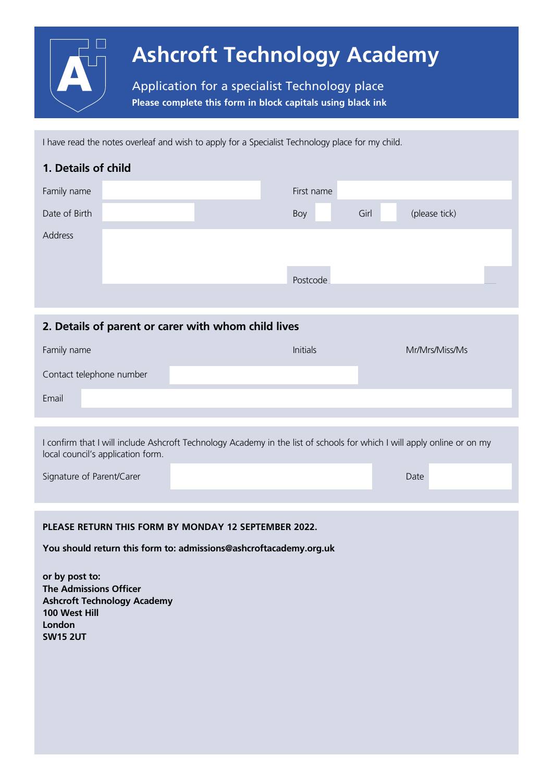

I have read the notes overleaf and wish to apply for a Specialist Technology place for my child.

| 1. Details of child |  |  |            |      |               |  |  |  |  |
|---------------------|--|--|------------|------|---------------|--|--|--|--|
| Family name         |  |  | First name |      |               |  |  |  |  |
| Date of Birth       |  |  | Boy        | Girl | (please tick) |  |  |  |  |
| Address             |  |  |            |      |               |  |  |  |  |
|                     |  |  |            |      |               |  |  |  |  |
|                     |  |  | Postcode   |      |               |  |  |  |  |
|                     |  |  |            |      |               |  |  |  |  |

### **2. Details of parent or carer with whom child lives**

| Family name              |  | <b>Initials</b> | Mr/Mrs/Miss/Ms |
|--------------------------|--|-----------------|----------------|
| Contact telephone number |  |                 |                |
| Email                    |  |                 |                |

I confirm that I will include Ashcroft Technology Academy in the list of schools for which I will apply online or on my local council's application form.

| Signature of Parent/Carer |  |  |
|---------------------------|--|--|
|                           |  |  |

#### **PLEASE RETURN THIS FORM BY MONDAY 1**2 **SEPTEMBER 202**2**.**

**You should return this form to: admissions@ashcroftacademy.org.uk**

**or by post to: The Admissions Officer Ashcroft Technology Academy 100 West Hill London SW15 2UT**